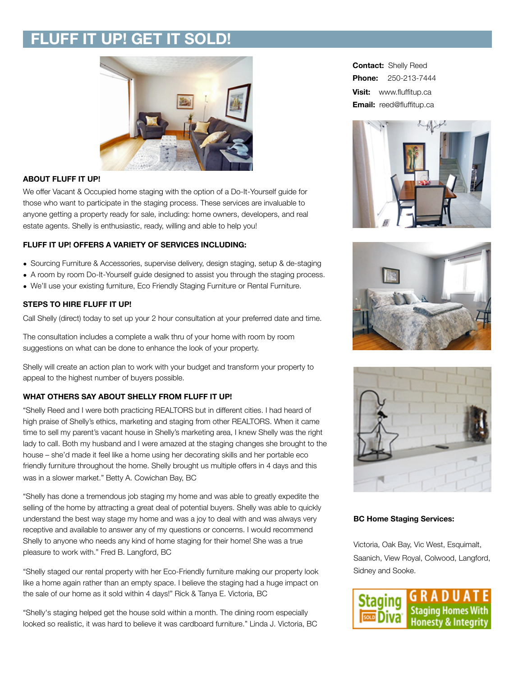# **FLUFF IT UP! GET IT SOLD!**



## **ABOUT FLUFF IT UP!**

We offer Vacant & Occupied home staging with the option of a Do-It-Yourself guide for those who want to participate in the staging process. These services are invaluable to anyone getting a property ready for sale, including: home owners, developers, and real estate agents. Shelly is enthusiastic, ready, willing and able to help you!

### **FLUFF IT UP! OFFERS A VARIETY OF SERVICES INCLUDING:**

- Sourcing Furniture & Accessories, supervise delivery, design staging, setup & de-staging
- A room by room Do-It-Yourself guide designed to assist you through the staging process.
- We'll use your existing furniture, Eco Friendly Staging Furniture or Rental Furniture.

### **STEPS TO HIRE FLUFF IT UP!**

Call Shelly (direct) today to set up your 2 hour consultation at your preferred date and time.

The consultation includes a complete a walk thru of your home with room by room suggestions on what can be done to enhance the look of your property.

Shelly will create an action plan to work with your budget and transform your property to appeal to the highest number of buyers possible.

## **WHAT OTHERS SAY ABOUT SHELLY FROM FLUFF IT UP!**

"Shelly Reed and I were both practicing REALTORS but in different cities. I had heard of high praise of Shelly's ethics, marketing and staging from other REALTORS. When it came time to sell my parent's vacant house in Shelly's marketing area, I knew Shelly was the right lady to call. Both my husband and I were amazed at the staging changes she brought to the house – she'd made it feel like a home using her decorating skills and her portable eco friendly furniture throughout the home. Shelly brought us multiple offers in 4 days and this was in a slower market." Betty A. Cowichan Bay, BC

"Shelly has done a tremendous job staging my home and was able to greatly expedite the selling of the home by attracting a great deal of potential buyers. Shelly was able to quickly understand the best way stage my home and was a joy to deal with and was always very receptive and available to answer any of my questions or concerns. I would recommend Shelly to anyone who needs any kind of home staging for their home! She was a true pleasure to work with." Fred B. Langford, BC

"Shelly staged our rental property with her Eco-Friendly furniture making our property look like a home again rather than an empty space. I believe the staging had a huge impact on the sale of our home as it sold within 4 days!" Rick & Tanya E. Victoria, BC

"Shelly's staging helped get the house sold within a month. The dining room especially looked so realistic, it was hard to believe it was cardboard furniture." Linda J. Victoria, BC

**Contact:** Shelly Reed **Phone:** 250-213-7444 **Visit:** www.fluffitup.ca **Email:** [reed@fluffitup.ca](mailto:reed@fluffitup.ca)







#### **BC Home Staging Services:**

Victoria, Oak Bay, Vic West, Esquimalt, Saanich, View Royal, Colwood, Langford, Sidney and Sooke.